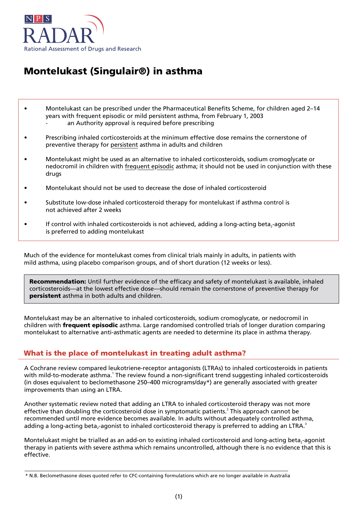

# **Montelukast (Singulair®) in asthma**

- Montelukast can be prescribed under the Pharmaceutical Benefits Scheme, for children aged 2–14 years with frequent episodic or mild persistent asthma, from February 1, 2003 an Authority approval is required before prescribing
- Prescribing inhaled corticosteroids at the minimum effective dose remains the cornerstone of
- preventive therapy for persistent asthma in adults and children
- Montelukast might be used as an alternative to inhaled corticosteroids, sodium cromoglycate or nedocromil in children with frequent episodic asthma; it should not be used in conjunction with these drugs
- Montelukast should not be used to decrease the dose of inhaled corticosteroid
- Substitute low-dose inhaled corticosteroid therapy for montelukast if asthma control is not achieved after 2 weeks
- If control with inhaled corticosteroids is not achieved, adding a long-acting beta<sub>2</sub>-agonist is preferred to adding montelukast

Much of the evidence for montelukast comes from clinical trials mainly in adults, in patients with mild asthma, using placebo comparison groups, and of short duration (12 weeks or less).

**Recommendation:** Until further evidence of the efficacy and safety of montelukast is available, inhaled corticosteroids—at the lowest effective dose—should remain the cornerstone of preventive therapy for **persistent** asthma in both adults and children.

Montelukast may be an alternative to inhaled corticosteroids, sodium cromoglycate, or nedocromil in children with **frequent episodic** asthma. Large randomised controlled trials of longer duration comparing montelukast to alternative anti-asthmatic agents are needed to determine its place in asthma therapy.

# **What is the place of montelukast in treating adult asthma?**

A Cochrane review compared leukotriene-receptor antagonists (LTRAs) to inhaled corticosteroids in patients with mild-to-moderate asthma.<sup>1</sup> The review found a non-significant trend suggesting inhaled corticosteroids (in doses equivalent to beclomethasone 250–400 micrograms/day\*) are generally associated with greater improvements than using an LTRA.

Another systematic review noted that adding an LTRA to inhaled corticosteroid therapy was not more effective than doubling the corticosteroid dose in symptomatic patients.<sup>2</sup> This approach cannot be recommended until more evidence becomes available. In adults without adequately controlled asthma, adding a long-acting beta<sub>2</sub>-agonist to inhaled corticosteroid therapy is preferred to adding an LTRA.<sup>3</sup>

Montelukast might be trialled as an add-on to existing inhaled corticosteroid and long-acting beta<sub>z</sub>-agonist therapy in patients with severe asthma which remains uncontrolled, although there is no evidence that this is effective.

<sup>\*</sup> N.B. Beclomethasone doses quoted refer to CFC-containing formulations which are no longer available in Australia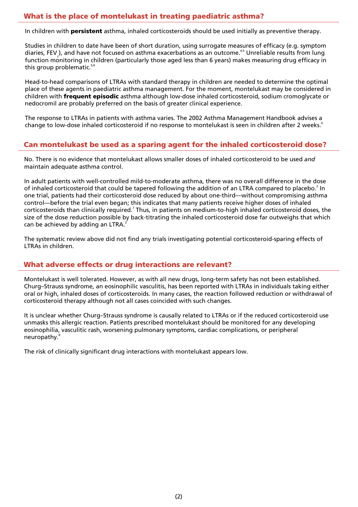# **What is the place of montelukast in treating paediatric asthma?**

In children with **persistent** asthma, inhaled corticosteroids should be used initially as preventive therapy.

Studies in children to date have been of short duration, using surrogate measures of efficacy (e.g. symptom diaries, FEV<sub>1</sub>), and have not focused on asthma exacerbations as an outcome.<sup>4,5</sup> Unreliable results from lung function monitoring in children (particularly those aged less than 6 years) makes measuring drug efficacy in this group problematic.<sup>5,6</sup>

Head-to-head comparisons of LTRAs with standard therapy in children are needed to determine the optimal place of these agents in paediatric asthma management. For the moment, montelukast may be considered in children with **frequent episodic** asthma although low-dose inhaled corticosteroid, sodium cromoglycate or nedocromil are probably preferred on the basis of greater clinical experience.

The response to LTRAs in patients with asthma varies. The 2002 Asthma Management Handbook advises a change to low-dose inhaled corticosteroid if no response to montelukast is seen in children after 2 weeks.<sup>6</sup>

### **Can montelukast be used as a sparing agent for the inhaled corticosteroid dose?**

No. There is no evidence that montelukast allows smaller doses of inhaled corticosteroid to be used *and* maintain adequate asthma control.

In adult patients with well-controlled mild-to-moderate asthma, there was no overall difference in the dose of inhaled corticosteroid that could be tapered following the addition of an LTRA compared to placebo.<sup>2</sup> In one trial, patients had their corticosteroid dose reduced by about one-third—without compromising asthma control—before the trial even began; this indicates that many patients receive higher doses of inhaled corticosteroids than clinically required.<sup>7</sup> Thus, in patients on medium-to-high inhaled corticosteroid doses, the size of the dose reduction possible by back-titrating the inhaled corticosteroid dose far outweighs that which can be achieved by adding an LTRA.<sup>2</sup>

The systematic review above did not find any trials investigating potential corticosteroid-sparing effects of LTRAs in children.

### **What adverse effects or drug interactions are relevant?**

Montelukast is well tolerated. However, as with all new drugs, long-term safety has not been established. Churg–Strauss syndrome, an eosinophilic vasculitis, has been reported with LTRAs in individuals taking either oral or high, inhaled doses of corticosteroids. In many cases, the reaction followed reduction or withdrawal of corticosteroid therapy although not all cases coincided with such changes.

It is unclear whether Churg–Strauss syndrome is causally related to LTRAs or if the reduced corticosteroid use unmasks this allergic reaction. Patients prescribed montelukast should be monitored for any developing eosinophilia, vasculitic rash, worsening pulmonary symptoms, cardiac complications, or peripheral neuropathy.<sup>8</sup>

The risk of clinically significant drug interactions with montelukast appears low.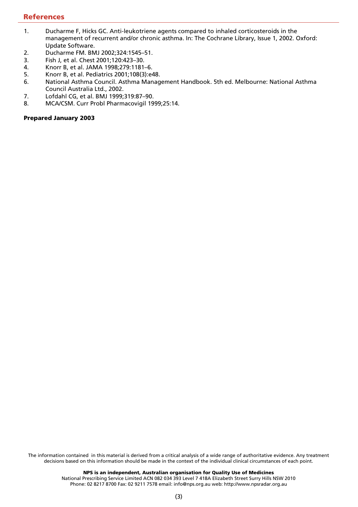### **References**

- 1. Ducharme F, Hicks GC. Anti-leukotriene agents compared to inhaled corticosteroids in the management of recurrent and/or chronic asthma. In: The Cochrane Library, Issue 1, 2002. Oxford: Update Software.
- 2. Ducharme FM. BMJ 2002;324:1545–51.
- 3. Fish J, et al. Chest 2001;120:423–30.
- 4. Knorr B, et al. JAMA 1998;279:1181–6.
- 5. Knorr B, et al. Pediatrics 2001;108(3):e48.
- 6. National Asthma Council. Asthma Management Handbook. 5th ed. Melbourne: National Asthma Council Australia Ltd., 2002.
- 7. Lofdahl CG, et al. BMJ 1999;319:87–90.
- 8. MCA/CSM. Curr Probl Pharmacovigil 1999;25:14.

#### **Prepared January 2003**

The information contained in this material is derived from a critical analysis of a wide range of authoritative evidence. Any treatment decisions based on this information should be made in the context of the individual clinical circumstances of each point.

**NPS is an independent, Australian organisation for Quality Use of Medicines**

National Prescribing Service Limited ACN 082 034 393 Level 7 418A Elizabeth Street Surry Hills NSW 2010 Phone: 02 8217 8700 Fax: 02 9211 7578 email: info@nps.org.au web: http://www.npsradar.org.au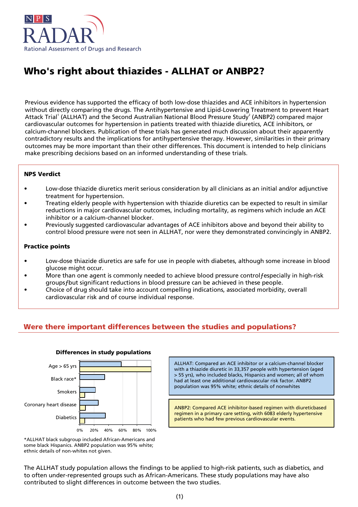

# **Who's right about thiazides - ALLHAT or ANBP2?**

Previous evidence has supported the efficacy of both low-dose thiazides and ACE inhibitors in hypertension without directly comparing the drugs. The Antihypertensive and Lipid-Lowering Treatment to prevent Heart Attack Trial<sup>1</sup> (ALLHAT) and the Second Australian National Blood Pressure Study<sup>2</sup> (ANBP2) compared major cardiovascular outcomes for hypertension in patients treated with thiazide diuretics, ACE inhibitors, or calcium-channel blockers. Publication of these trials has generated much discussion about their apparently contradictory results and the implications for antihypertensive therapy. However, similarities in their primary outcomes may be more important than their other differences. This document is intended to help clinicians make prescribing decisions based on an informed understanding of these trials.

#### **NPS Verdict**

- Low-dose thiazide diuretics merit serious consideration by all clinicians as an initial and/or adjunctive treatment for hypertension.
- Treating elderly people with hypertension with thiazide diuretics can be expected to result in similar reductions in major cardiovascular outcomes, including mortality, as regimens which include an ACE inhibitor or a calcium-channel blocker.
- Previously suggested cardiovascular advantages of ACE inhibitors above and beyond their ability to control blood pressure were not seen in ALLHAT, nor were they demonstrated convincingly in ANBP2.

#### **Practice points**

- Low-dose thiazide diuretics are safe for use in people with diabetes, although some increase in blood glucose might occur.
- More than one agent is commonly needed to achieve blood pressure controlƒespecially in high-risk groupsƒbut significant reductions in blood pressure can be achieved in these people.
- Choice of drug should take into account compelling indications, associated morbidity, overall cardiovascular risk and of course individual response.

# **Were there important differences between the studies and populations?**



#### **Differences in study populations**

\*ALLHAT black subgroup included African-Americans and some black Hispanics. ANBP2 population was 95% white; ethnic details of non-whites not given.

ALLHAT: Compared an ACE inhibitor or a calcium-channel blocker with a thiazide diuretic in 33,357 people with hypertension (aged > 55 yrs), who included blacks, Hispanics and women; all of whom had at least one additional cardiovascular risk factor. ANBP2 population was 95% white; ethnic details of nonwhites

ANBP2: Compared ACE inhibitor-based regimen with diureticbased regimen in a primary care setting, with 6083 elderly hypertensive patients who had few previous cardiovascular events.

The ALLHAT study population allows the findings to be applied to high-risk patients, such as diabetics, and to often under-represented groups such as African-Americans. These study populations may have also contributed to slight differences in outcome between the two studies.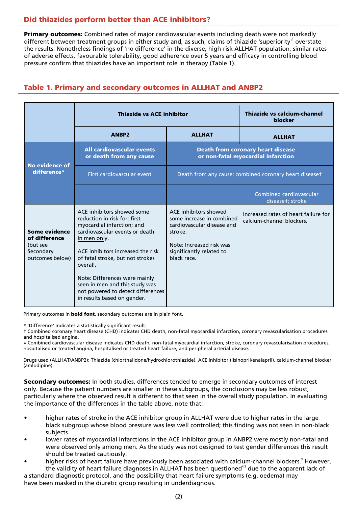# **Did thiazides perform better than ACE inhibitors?**

**Primary outcomes:** Combined rates of major cardiovascular events including death were not markedly different between treatment groups in either study and, as such, claims of thiazide 'superiority'<sup>1</sup> overstate the results. Nonetheless findings of 'no difference' in the diverse, high-risk ALLHAT population, similar rates of adverse effects, favourable tolerability, good adherence over 5 years and efficacy in controlling blood pressure confirm that thiazides have an important role in therapy (Table 1).

# **Table 1. Primary and secondary outcomes in ALLHAT and ANBP2**

|                                                                            | <b>Thiazide vs ACE inhibitor</b>                                                                                                                                                                                                                                                                                                                                       |                                                                                                                                                                    | Thiazide vs calcium-channel<br>blocker                            |
|----------------------------------------------------------------------------|------------------------------------------------------------------------------------------------------------------------------------------------------------------------------------------------------------------------------------------------------------------------------------------------------------------------------------------------------------------------|--------------------------------------------------------------------------------------------------------------------------------------------------------------------|-------------------------------------------------------------------|
|                                                                            | <b>ANBP2</b>                                                                                                                                                                                                                                                                                                                                                           | <b>ALLHAT</b>                                                                                                                                                      | <b>ALLHAT</b>                                                     |
| <b>No evidence of</b><br>difference*                                       | <b>All cardiovascular events</b><br>or death from any cause                                                                                                                                                                                                                                                                                                            | <b>Death from coronary heart disease</b><br>or non-fatal myocardial infarction                                                                                     |                                                                   |
|                                                                            | First cardiovascular event                                                                                                                                                                                                                                                                                                                                             | Death from any cause; combined coronary heart diseaset                                                                                                             |                                                                   |
|                                                                            |                                                                                                                                                                                                                                                                                                                                                                        |                                                                                                                                                                    | Combined cardiovascular<br>disease‡; stroke                       |
| Some evidence<br>of difference<br>(but see<br>Secondary<br>outcomes below) | ACE inhibitors showed some<br>reduction in risk for: first<br>myocardial infarction; and<br>cardiovascular events or death<br>in men only.<br>ACE inhibitors increased the risk<br>of fatal stroke, but not strokes<br>overall.<br>Note: Differences were mainly<br>seen in men and this study was<br>not powered to detect differences<br>in results based on gender. | ACE inhibitors showed<br>some increase in combined<br>cardiovascular disease and<br>stroke.<br>Note: Increased risk was<br>significantly related to<br>black race. | Increased rates of heart failure for<br>calcium-channel blockers. |

Primary outcomes in **bold font**, secondary outcomes are in plain font.

\* 'Difference' indicates a statistically significant result.

† Combined coronary heart disease (CHD) indicates CHD death, non-fatal myocardial infarction, coronary revascularisation procedures and hospitalised angina.

 Combined cardiovascular disease indicates CHD death, non-fatal myocardial infarction, stroke, coronary revascularisation procedures, hospitalised or treated angina, hospitalised or treated heart failure, and peripheral arterial disease.

Drugs used (ALLHAT/ANBP2): Thiazide (chlorthalidone/hydrochlorothiazide), ACE inhibitor (lisinopril/enalapril), calcium-channel blocker (amlodipine).

**Secondary outcomes:** In both studies, differences tended to emerge in secondary outcomes of interest only. Because the patient numbers are smaller in these subgroups, the conclusions may be less robust, particularly where the observed result is different to that seen in the overall study population. In evaluating the importance of the differences in the table above, note that:

- higher rates of stroke in the ACE inhibitor group in ALLHAT were due to higher rates in the large black subgroup whose blood pressure was less well controlled; this finding was not seen in non-black subjects.
- lower rates of myocardial infarctions in the ACE inhibitor group in ANBP2 were mostly non-fatal and were observed only among men. As the study was not designed to test gender differences this result should be treated cautiously.
- higher risks of heart failure have previously been associated with calcium-channel blockers.<sup>3</sup> However, the validity of heart failure diagnoses in ALLHAT has been questioned<sup>4,5</sup> due to the apparent lack of

a standard diagnostic protocol, and the possibility that heart failure symptoms (e.g. oedema) may have been masked in the diuretic group resulting in underdiagnosis.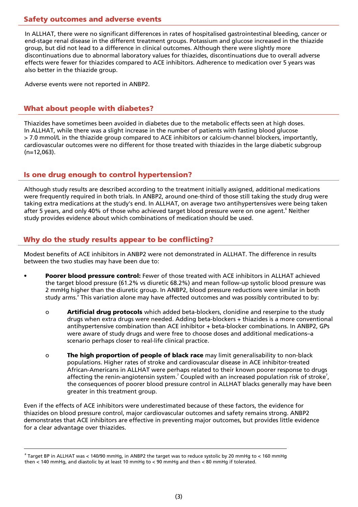### **Safety outcomes and adverse events**

In ALLHAT, there were no significant differences in rates of hospitalised gastrointestinal bleeding, cancer or end-stage renal disease in the different treatment groups. Potassium and glucose increased in the thiazide group, but did not lead to a difference in clinical outcomes. Although there were slightly more discontinuations due to abnormal laboratory values for thiazides, discontinuations due to overall adverse effects were fewer for thiazides compared to ACE inhibitors. Adherence to medication over 5 years was also better in the thiazide group.

Adverse events were not reported in ANBP2.

### **What about people with diabetes?**

Thiazides have sometimes been avoided in diabetes due to the metabolic effects seen at high doses. In ALLHAT, while there was a slight increase in the number of patients with fasting blood glucose > 7.0 mmol/L in the thiazide group compared to ACE inhibitors or calcium-channel blockers, importantly, cardiovascular outcomes were no different for those treated with thiazides in the large diabetic subgroup (n=12,063).

### **Is one drug enough to control hypertension?**

Although study results are described according to the treatment initially assigned, additional medications were frequently required in both trials. In ANBP2, around one-third of those still taking the study drug were taking extra medications at the study's end. In ALLHAT, on average two antihypertensives were being taken after 5 years, and only 40% of those who achieved target blood pressure were on one agent.<sup>6</sup> Neither study provides evidence about which combinations of medication should be used.

### **Why do the study results appear to be conflicting?**

Modest benefits of ACE inhibitors in ANBP2 were not demonstrated in ALLHAT. The difference in results between the two studies may have been due to:

- **Poorer blood pressure control:** Fewer of those treated with ACE inhibitors in ALLHAT achieved the target blood pressure (61.2% vs diuretic 68.2%) and mean follow-up systolic blood pressure was 2 mmHg higher than the diuretic group. In ANBP2, blood pressure reductions were similar in both study arms.<sup>ª</sup> This variation alone may have affected outcomes and was possibly contributed to by:
	- o **Artificial drug protocols** which added beta-blockers, clonidine and reserpine to the study drugs when extra drugs were needed. Adding beta-blockers + thiazides is a more conventional antihypertensive combination than ACE inhibitor + beta-blocker combinations. In ANBP2, GPs were aware of study drugs and were free to choose doses and additional medications–a scenario perhaps closer to real-life clinical practice.
- o **The high proportion of people of black race** may limit generalisability to non-black populations. Higher rates of stroke and cardiovascular disease in ACE inhibitor-treated African-Americans in ALLHAT were perhaps related to their known poorer response to drugs affecting the renin-angiotensin system.<sup>7</sup> Coupled with an increased population risk of stroke<sup>7</sup>, the consequences of poorer blood pressure control in ALLHAT blacks generally may have been greater in this treatment group.

Even if the effects of ACE inhibitors were underestimated because of these factors, the evidence for thiazides on blood pressure control, major cardiovascular outcomes and safety remains strong. ANBP2 demonstrates that ACE inhibitors are effective in preventing major outcomes, but provides little evidence for a clear advantage over thiazides.

 $^{\rm a}$  Target BP in ALLHAT was < 140/90 mmHg, in ANBP2 the target was to reduce systolic by 20 mmHg to < 160 mmHg then < 140 mmHg, and diastolic by at least 10 mmHg to < 90 mmHg and then < 80 mmHg if tolerated.